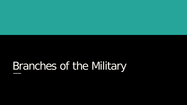# Branches of the Military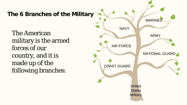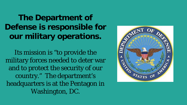**The Department of our military operations. Defense is responsible for** 

 military forces needed to deter war and to protect the security of our headquarters is at the Pentagon in Its mission is "to provide the country." The department's Washington, DC.

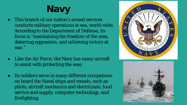# **Navy**

- ● This branch of our nation's armed services conducts military operations at sea, world-wide. conducts military operations at sea, world-wide. According to the Department of Defense, its focus is "maintaining the freedom of the seas, deterring aggression, and achieving victory at war."
- Like the Air Force, the Navy has many aircraft to assist with protecting the seas.
- ● Its soldiers serve in many different occupations on board the Naval ships and vessels, such as pilots, aircraft mechanics and electricians, food service and supply, computer technology, and firefighting.



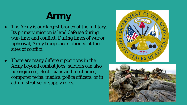## **Army**

- Its primary mission is land defense during war-time and conflict. During times of war or upheaval, Army troops are stationed at the The Army is our largest branch of the military. sites of conflict.
- ● There are many different positions in the be engineers, electricians and mechanics, Army beyond combat jobs: soldiers can also computer techs, medics, police officers, or in administrative or supply roles.



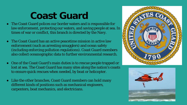### **Coast Guard**

- times of war or conflict, this branch is directed by the Navy. ● The Coast Guard polices our border waters and is responsible for law enforcement, protecting our waters, and saving people at sea. In
- also collect oceanographic data to further environmental research. • The Coast Guard has an active peacetime mission in active law enforcement (such as arresting smugglers) and ocean safety (including enforcing pollution regulations). Coast Guard members
- ● One of the Coast Guard's main duties is to rescue people trapped or lost at sea. The Coast Guard has many sites along the nation's coasts to ensure quick rescues when needed, by boat or helicopter.
- carpenters, boat mechanics, and electricians. • Like the other branches, Coast Guard members can hold many different kinds of positions such as mechanical engineers,



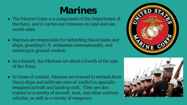### **Marines**

- the Navy, and it carries out missions on land and sea, ● The Marine Corps is a component of the Department of world-wide.
- assisting in ground combat. ● Marines are responsible for defending Naval bases and ships, guarding U.S. embassies internationally, and
- As a branch, the Marines are about a fourth of the size of the Army.
- Naval ships and infiltrate sites of conflict in specially- designed aircraft and landing craft. They are also trained in a variety of aircraft, tank, and other military vehicles, as well as a variety of weaponry. • In times of combat, Marines are trained to embark from



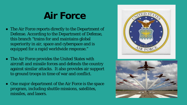### **Air Force**

- The Air Force reports directly to the Department of this branch "trains for and maintains global superiority in air, space and cyberspace and is equipped for a rapid worldwide response." Defense. According to the Department of Defense,
- ● The Air Force provides the United States with against similar attacks. It also provides air support to ground troops in time of war and conflict. aircraft and missile forces and defends the country
- ● One major department of the Air Force is the space program, including shuttle missions, satellites, missiles, and lasers.



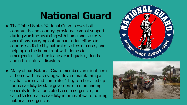## **National Guard**

- ● The United States National Guard serves both community and country, providing combat support during wartime, assisting with homeland security operations, carrying out humanitarian efforts in countries affected by natural disasters or crises, and helping on the home front with domestic emergencies like hurricanes, earthquakes, floods, and other natural disasters.
- Many of our National Guard members are right here at home with us, serving while also maintaining a civilian career and home life. They can be called up for active duty by state governors or commanding generals for local or state-based emergencies, or called to federal active duty in times of war or during national emergencies.



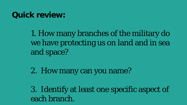#### **Quick review:**

 1. How many branches of the military do we have protecting us on land and in sea and space?

2. How many can you name?

 3. Identify at least one specific aspect of each branch.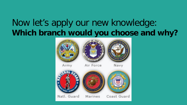#### Now let's apply our new knowledge: **Which branch would you choose and why?**